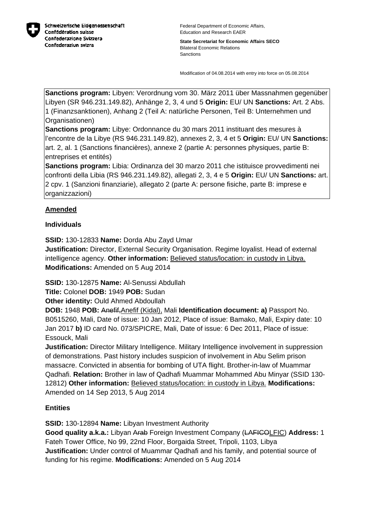

Federal Department of Economic Affairs, Education and Research EAER

**State Secretariat for Economic Affairs SECO** Bilateral Economic Relations Sanctions

Modification of 04.08.2014 with entry into force on 05.08.2014

**Sanctions program:** Libyen: Verordnung vom 30. März 2011 über Massnahmen gegenüber Libyen (SR 946.231.149.82), Anhänge 2, 3, 4 und 5 **Origin:** EU/ UN **Sanctions:** Art. 2 Abs. 1 (Finanzsanktionen), Anhang 2 (Teil A: natürliche Personen, Teil B: Unternehmen und Organisationen)

**Sanctions program:** Libye: Ordonnance du 30 mars 2011 instituant des mesures à l'encontre de la Libye (RS 946.231.149.82), annexes 2, 3, 4 et 5 **Origin:** EU/ UN **Sanctions:** art. 2, al. 1 (Sanctions financières), annexe 2 (partie A: personnes physiques, partie B: entreprises et entités)

**Sanctions program:** Libia: Ordinanza del 30 marzo 2011 che istituisce provvedimenti nei confronti della Libia (RS 946.231.149.82), allegati 2, 3, 4 e 5 **Origin:** EU/ UN **Sanctions:** art. 2 cpv. 1 (Sanzioni finanziarie), allegato 2 (parte A: persone fisiche, parte B: imprese e organizzazioni)

# **Amended**

### **Individuals**

**SSID:** 130-12833 **Name:** Dorda Abu Zayd Umar **Justification:** Director, External Security Organisation. Regime loyalist. Head of external intelligence agency. **Other information:** Believed status/location: in custody in Libya. **Modifications:** Amended on 5 Aug 2014

**SSID:** 130-12875 **Name:** Al-Senussi Abdullah

**Title:** Colonel **DOB:** 1949 **POB:** Sudan

**Other identity:** Ould Ahmed Abdoullah

**DOB:** 1948 **POB:** Anefif,Anefif (Kidal), Mali **Identification document: a)** Passport No. B0515260, Mali, Date of issue: 10 Jan 2012, Place of issue: Bamako, Mali, Expiry date: 10 Jan 2017 **b)** ID card No. 073/SPICRE, Mali, Date of issue: 6 Dec 2011, Place of issue: Essouck, Mali

**Justification:** Director Military Intelligence. Military Intelligence involvement in suppression of demonstrations. Past history includes suspicion of involvement in Abu Selim prison massacre. Convicted in absentia for bombing of UTA flight. Brother-in-law of Muammar Qadhafi. **Relation:** Brother in law of Qadhafi Muammar Mohammed Abu Minyar (SSID 130- 12812) **Other information:** Believed status/location: in custody in Libya. **Modifications:**  Amended on 14 Sep 2013, 5 Aug 2014

## **Entities**

**SSID:** 130-12894 **Name:** Libyan Investment Authority

**Good quality a.k.a.:** Libyan Arab Foreign Investment Company (LAFICOLFIC) **Address:** 1 Fateh Tower Office, No 99, 22nd Floor, Borgaida Street, Tripoli, 1103, Libya **Justification:** Under control of Muammar Qadhafi and his family, and potential source of funding for his regime. **Modifications:** Amended on 5 Aug 2014